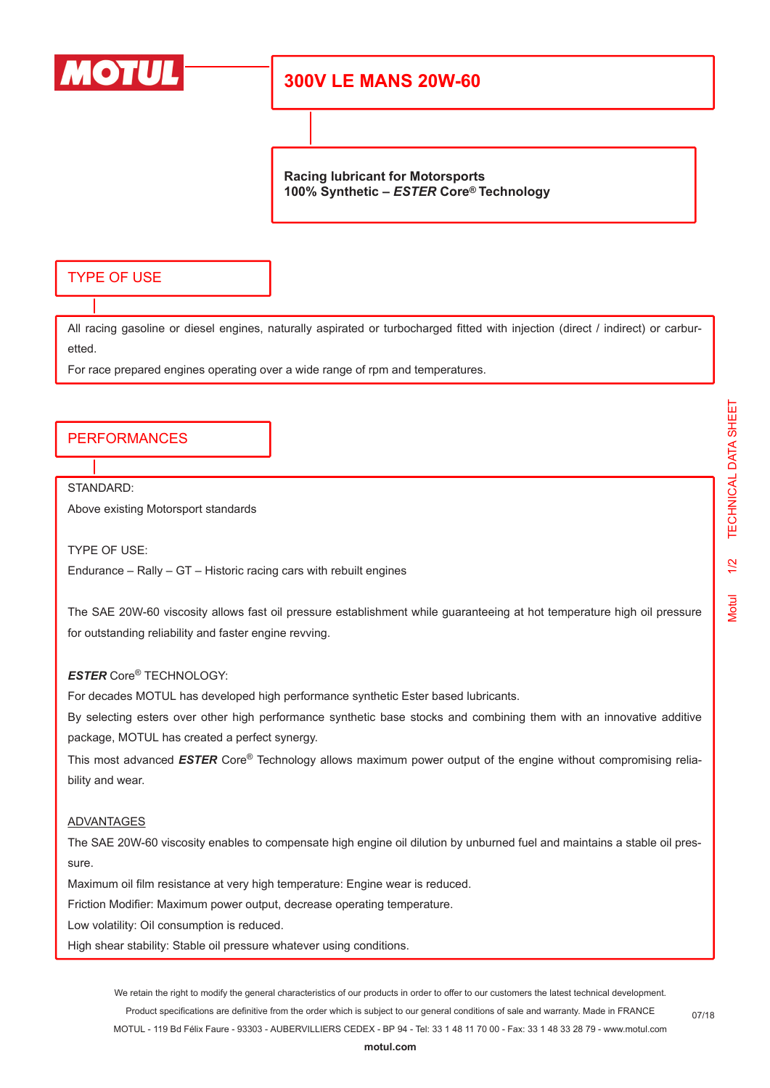

# **300V LE MANS 20W-60**

**Racing lubricant for Motorsports 100% Synthetic –** *ESTER* **Core® Technology**

## TYPE OF USE

All racing gasoline or diesel engines, naturally aspirated or turbocharged fitted with injection (direct / indirect) or carburetted.

For race prepared engines operating over a wide range of rpm and temperatures.

### PERFORMANCES

STANDARD:

Above existing Motorsport standards

TYPE OF USE:

Endurance – Rally – GT – Historic racing cars with rebuilt engines

The SAE 20W-60 viscosity allows fast oil pressure establishment while guaranteeing at hot temperature high oil pressure for outstanding reliability and faster engine revving.

### *ESTER* Core® TECHNOLOGY:

For decades MOTUL has developed high performance synthetic Ester based lubricants.

By selecting esters over other high performance synthetic base stocks and combining them with an innovative additive package, MOTUL has created a perfect synergy.

This most advanced *ESTER* Core® Technology allows maximum power output of the engine without compromising reliability and wear.

#### ADVANTAGES

The SAE 20W-60 viscosity enables to compensate high engine oil dilution by unburned fuel and maintains a stable oil pressure.

Maximum oil film resistance at very high temperature: Engine wear is reduced.

Friction Modifier: Maximum power output, decrease operating temperature.

Low volatility: Oil consumption is reduced.

High shear stability: Stable oil pressure whatever using conditions.

We retain the right to modify the general characteristics of our products in order to offer to our customers the latest technical development. Product specifications are definitive from the order which is subject to our general conditions of sale and warranty. Made in FRANCE MOTUL - 119 Bd Félix Faure - 93303 - AUBERVILLIERS CEDEX - BP 94 - Tel: 33 1 48 11 70 00 - Fax: 33 1 48 33 28 79 - www.motul.com